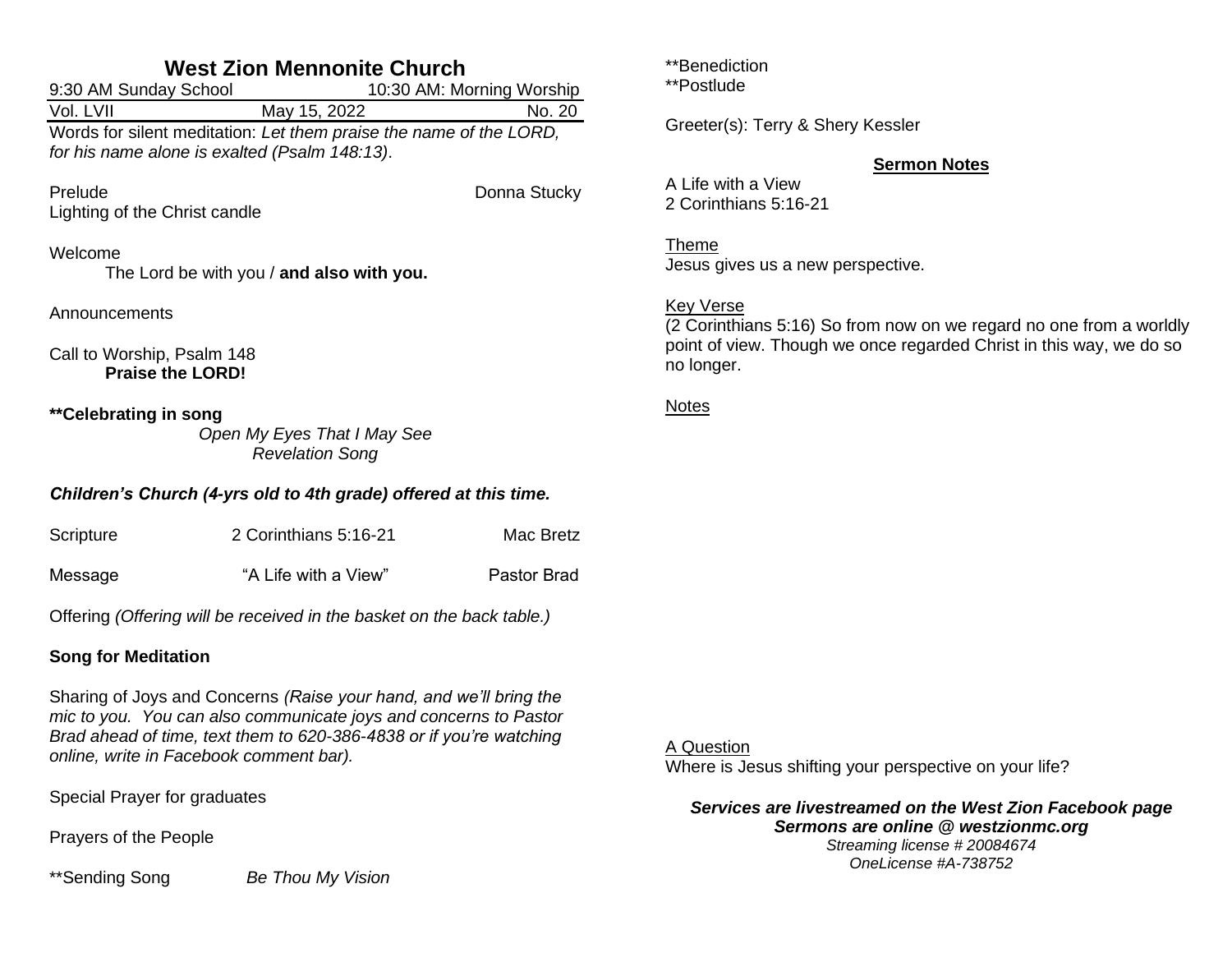# **West Zion Mennonite Church**

| 9:30 AM Sunday School                                              |              | 10:30 AM: Morning Worship |  |  |
|--------------------------------------------------------------------|--------------|---------------------------|--|--|
| Vol. LVII                                                          | May 15, 2022 | No. 20                    |  |  |
| Words for silent meditation: Let them praise the name of the LORD, |              |                           |  |  |
| for his name alone is exalted (Psalm 148:13).                      |              |                           |  |  |
|                                                                    |              |                           |  |  |

Prelude **Donna Stucky** Lighting of the Christ candle

## Welcome

The Lord be with you / **and also with you.**

Announcements

Call to Worship, Psalm 148 **Praise the LORD!**

**\*\*Celebrating in song**

*Open My Eyes That I May See Revelation Song*

## *Children's Church (4-yrs old to 4th grade) offered at this time.*

| Scripture | 2 Corinthians 5:16-21 | Mac Bretz   |
|-----------|-----------------------|-------------|
| Message   | "A Life with a View"  | Pastor Brad |

Offering *(Offering will be received in the basket on the back table.)*

## **Song for Meditation**

Sharing of Joys and Concerns *(Raise your hand, and we'll bring the mic to you. You can also communicate joys and concerns to Pastor Brad ahead of time, text them to 620-386-4838 or if you're watching online, write in Facebook comment bar).*

Special Prayer for graduates

Prayers of the People

\*\*Sending Song *Be Thou My Vision*

\*\*Benediction

\*\*Postlude

Greeter(s): Terry & Shery Kessler

## **Sermon Notes**

A Life with a View 2 Corinthians 5:16-21

Theme Jesus gives us a new perspective.

## Key Verse

(2 Corinthians 5:16) So from now on we regard no one from a worldly point of view. Though we once regarded Christ in this way, we do so no longer.

## Notes

A Question

Where is Jesus shifting your perspective on your life?

*Services are livestreamed on the West Zion Facebook page Sermons are online @ westzionmc.org*

*Streaming license # 20084674 OneLicense #A-738752*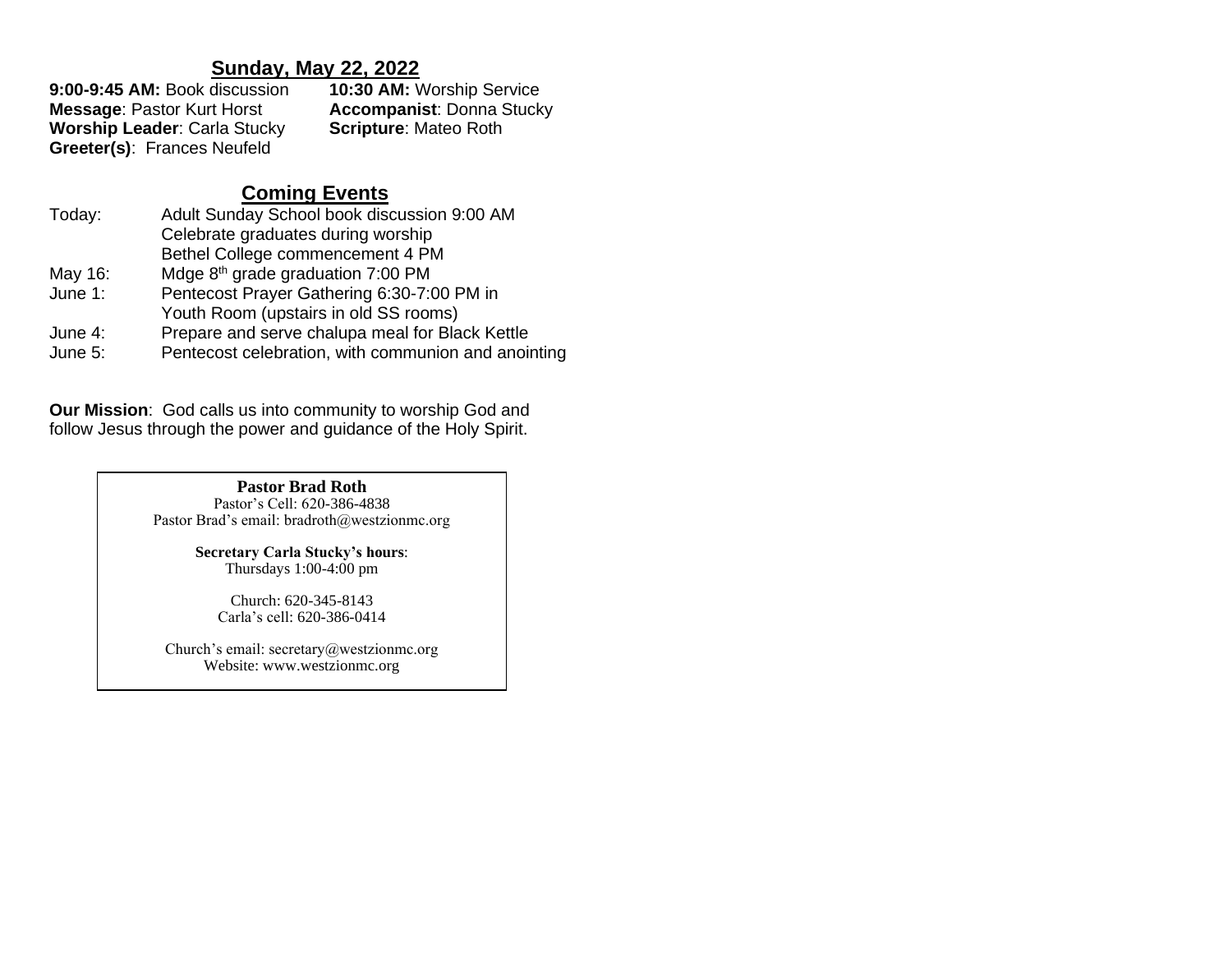**Sunday, May 22, 2022**<br>**9:00-9:45 AM:** Book discussion **10:30 AM:** V **10:30 AM: Worship Service Message**: Pastor Kurt Horst **Accompanist**: Donna Stucky **Worship Leader: Carla Stucky Greeter(s)**: Frances Neufeld

# **Coming Events**

| Today:    | Adult Sunday School book discussion 9:00 AM         |  |
|-----------|-----------------------------------------------------|--|
|           | Celebrate graduates during worship                  |  |
|           | Bethel College commencement 4 PM                    |  |
| May 16:   | Mdge 8 <sup>th</sup> grade graduation 7:00 PM       |  |
| June $1:$ | Pentecost Prayer Gathering 6:30-7:00 PM in          |  |
|           | Youth Room (upstairs in old SS rooms)               |  |
| June 4:   | Prepare and serve chalupa meal for Black Kettle     |  |
| June 5:   | Pentecost celebration, with communion and anointing |  |

**Our Mission**: God calls us into community to worship God and follow Jesus through the power and guidance of the Holy Spirit.

> **Pastor Brad Roth** Pastor's Cell: 620-386-4838 Pastor Brad's email: bradroth@westzionmc.org

> > **Secretary Carla Stucky's hours**: Thursdays 1:00-4:00 pm

Church: 620-345-8143 Carla's cell: 620-386-0414

Church's email: secretary@westzionmc.org Website: www.westzionmc.org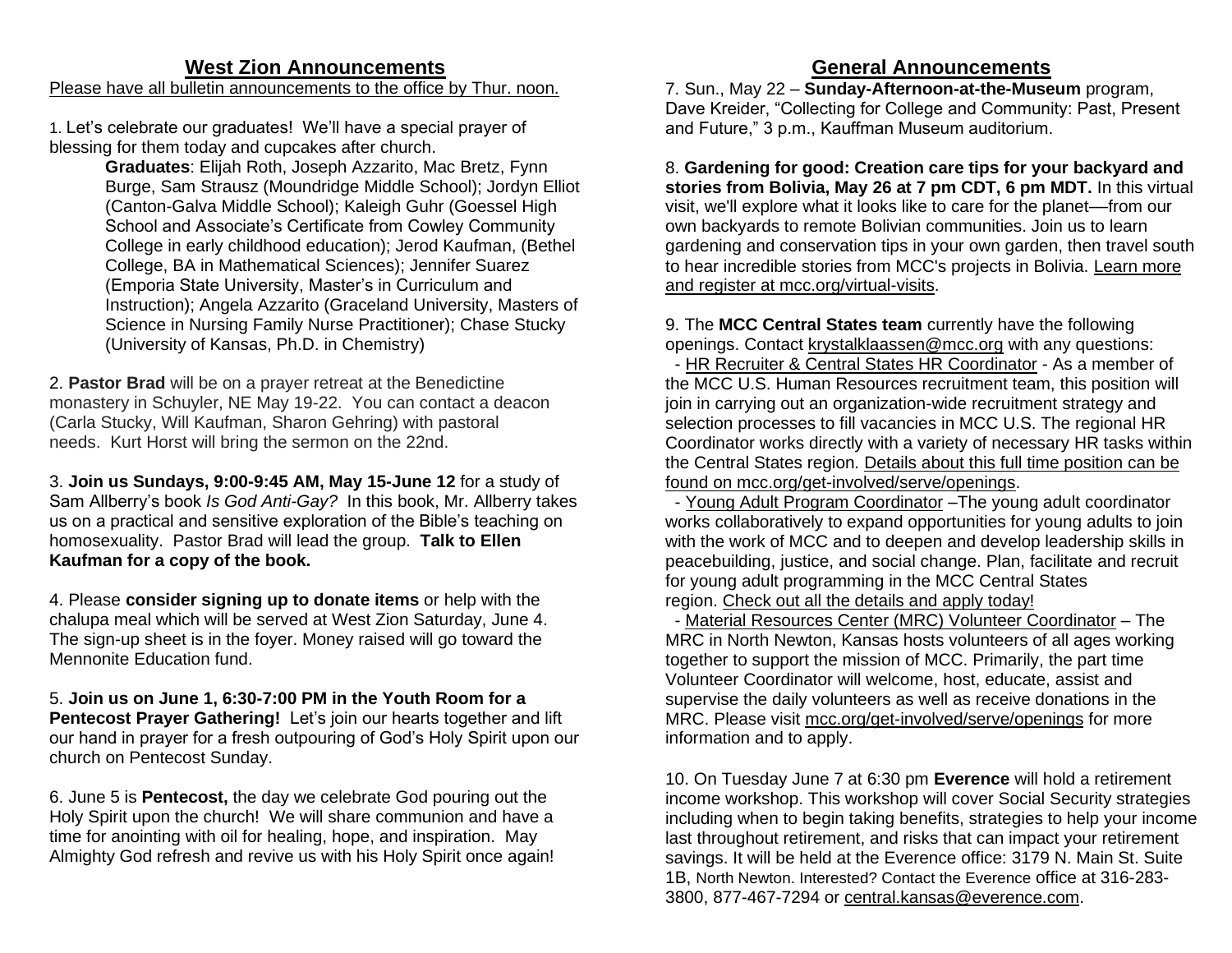# **West Zion Announcements**

## Please have all bulletin announcements to the office by Thur. noon.

1. Let's celebrate our graduates! We'll have a special prayer of blessing for them today and cupcakes after church.

> **Graduates**: Elijah Roth, Joseph Azzarito, Mac Bretz, Fynn Burge, Sam Strausz (Moundridge Middle School); Jordyn Elliot (Canton-Galva Middle School); Kaleigh Guhr (Goessel High School and Associate's Certificate from Cowley Community College in early childhood education); Jerod Kaufman, (Bethel College, BA in Mathematical Sciences); Jennifer Suarez (Emporia State University, Master's in Curriculum and Instruction); Angela Azzarito (Graceland University, Masters of Science in Nursing Family Nurse Practitioner); Chase Stucky (University of Kansas, Ph.D. in Chemistry)

2. **Pastor Brad** will be on a prayer retreat at the Benedictine monastery in Schuyler, NE May 19-22. You can contact a deacon (Carla Stucky, Will Kaufman, Sharon Gehring) with pastoral needs. Kurt Horst will bring the sermon on the 22nd.

3. **Join us Sundays, 9:00-9:45 AM, May 15-June 12** for a study of Sam Allberry's book *Is God Anti-Gay?* In this book, Mr. Allberry takes us on a practical and sensitive exploration of the Bible's teaching on homosexuality. Pastor Brad will lead the group. **Talk to Ellen Kaufman for a copy of the book.**

4. Please **consider signing up to donate items** or help with the chalupa meal which will be served at West Zion Saturday, June 4. The sign-up sheet is in the foyer. Money raised will go toward the Mennonite Education fund.

5. **Join us on June 1, 6:30-7:00 PM in the Youth Room for a Pentecost Prayer Gathering!** Let's join our hearts together and lift our hand in prayer for a fresh outpouring of God's Holy Spirit upon our church on Pentecost Sunday.

6. June 5 is **Pentecost,** the day we celebrate God pouring out the Holy Spirit upon the church! We will share communion and have a time for anointing with oil for healing, hope, and inspiration. May Almighty God refresh and revive us with his Holy Spirit once again!

# **General Announcements**

7. Sun., May 22 – **Sunday-Afternoon-at-the-Museum** program, Dave Kreider, "Collecting for College and Community: Past, Present and Future," 3 p.m., Kauffman Museum auditorium.

8. **Gardening for good: Creation care tips for your backyard and stories from Bolivia, May 26 at 7 pm CDT, 6 pm MDT.** In this virtual visit, we'll explore what it looks like to care for the planet––from our own backyards to remote Bolivian communities. Join us to learn gardening and conservation tips in your own garden, then travel south to hear incredible stories from MCC's projects in Bolivia. [Learn more](https://mcc.org/mcc-virtual-visits)  [and register at mcc.org/virtual-visits.](https://mcc.org/mcc-virtual-visits)

9. The **MCC Central States team** currently have the following openings. Contact [krystalklaassen@mcc.org](https://can01.safelinks.protection.outlook.com/?url=http%3A%2F%2Fkrystalklaassen%40mcc.org%2F&data=05%7C01%7CTinaSchrag%40mcc.org%7Ce4cfea819c1a4105e53a08da293047c0%7C169838f761344f5b8d1ab2d131856f52%7C0%7C0%7C637867584602076987%7CUnknown%7CTWFpbGZsb3d8eyJWIjoiMC4wLjAwMDAiLCJQIjoiV2luMzIiLCJBTiI6Ik1haWwiLCJXVCI6Mn0%3D%7C3000%7C%7C%7C&sdata=bxDUv49WlFfH5UFDaC2l1peQ1bcqdfTR4gKQw7Pm5yM%3D&reserved=0) with any questions:

 - HR Recruiter & Central States HR Coordinator - As a member of the MCC U.S. Human Resources recruitment team, this position will join in carrying out an organization-wide recruitment strategy and selection processes to fill vacancies in MCC U.S. The regional HR Coordinator works directly with a variety of necessary HR tasks within the Central States region. [Details about this full time position](https://mcc.org/get-involved/serve/openings/hr-recruiter-central-states-hr-coordinator) can be [found on mcc.org/get-involved/serve/openings.](https://mcc.org/get-involved/serve/openings/hr-recruiter-central-states-hr-coordinator)

 - Young Adult Program Coordinator –The young adult coordinator works collaboratively to expand opportunities for young adults to join with the work of MCC and to deepen and develop leadership skills in peacebuilding, justice, and social change. Plan, facilitate and recruit for young adult programming in the MCC Central States region. [Check out all the details and apply today!](https://can01.safelinks.protection.outlook.com/?url=https%3A%2F%2Fmcc.org%2Fget-involved%2Fserve%2Fopenings%2Fyoung-adult-coordinator-central-states&data=05%7C01%7CTinaSchrag%40mcc.org%7Cad7ec3c1dbb5447affa008da341cc6dd%7C169838f761344f5b8d1ab2d131856f52%7C0%7C0%7C637879595435589230%7CUnknown%7CTWFpbGZsb3d8eyJWIjoiMC4wLjAwMDAiLCJQIjoiV2luMzIiLCJBTiI6Ik1haWwiLCJXVCI6Mn0%3D%7C3000%7C%7C%7C&sdata=Q4whRWVDuGV1ENAtmht7Sri3pKQFfkcnxzQb0k9VmBM%3D&reserved=0)

 - Material Resources Center (MRC) Volunteer Coordinator – The MRC in North Newton, Kansas hosts volunteers of all ages working together to support the mission of MCC. Primarily, the part time Volunteer Coordinator will welcome, host, educate, assist and supervise the daily volunteers as well as receive donations in the MRC. Please visit [mcc.org/get-involved/serve/openings](https://can01.safelinks.protection.outlook.com/?url=https%3A%2F%2Fmcc.org%2Fget-involved%2Fserve%2Fopenings%2Fmaterial-resource-center-volunteer-coordinator-central-states&data=05%7C01%7CTinaSchrag%40mcc.org%7Ce4cfea819c1a4105e53a08da293047c0%7C169838f761344f5b8d1ab2d131856f52%7C0%7C0%7C637867584602076987%7CUnknown%7CTWFpbGZsb3d8eyJWIjoiMC4wLjAwMDAiLCJQIjoiV2luMzIiLCJBTiI6Ik1haWwiLCJXVCI6Mn0%3D%7C3000%7C%7C%7C&sdata=Sb6AxUSVhEG0WjX7jKiLKAsbNBMBW5FN75JSGxxN5Gs%3D&reserved=0) for more information and to apply.

10. On Tuesday June 7 at 6:30 pm **Everence** will hold a retirement income workshop. This workshop will cover Social Security strategies including when to begin taking benefits, strategies to help your income last throughout retirement, and risks that can impact your retirement savings. It will be held at the Everence office: 3179 N. Main St. Suite 1B, North Newton. Interested? Contact the Everence office at 316-283- 3800, 877-467-7294 or [central.kansas@everence.com.](mailto:central.kansas@everence.com)